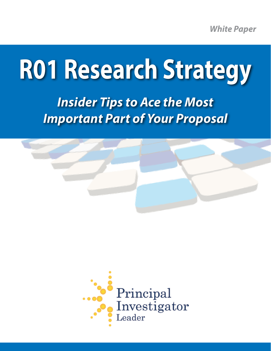*White Paper*

# **R01 Research Strategy**

*Insider Tips to Ace the Most Important Part of Your Proposal*



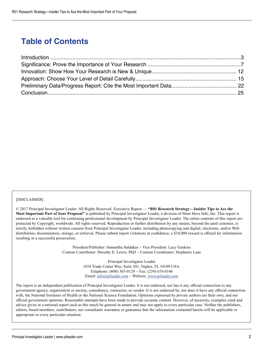# **Table of Contents**

#### [DISCLAIMER]

© 2017 Principal Investigator Leader. All Rights Reserved. Executive Report — **"R01 Research Strategy—Insider Tips to Ace the Most Important Part of Your Proposal"** is published by Principal Investigator Leader, a division of Must Have Info, Inc. This report is endorsed as a valuable tool for continuing professional development by Principal Investigator Leader. The entire contents of this report are protected by Copyright, worldwide. All rights reserved. Reproduction or further distribution by any means, beyond the paid customer, is strictly forbidden without written consent from Principal Investigator Leader, including photocopying and digital, electronic, and/or Web distribution, dissemination, storage, or retrieval. Please submit report violations in confidence; a \$10,000 reward is offered for information resulting in a successful prosecution.

> President/Publisher: Samantha Saldukas ~ Vice President: Lacy Gaskins Content Contributor: Dorothy E. Lewis, PhD ~ Content Coordinator: Stephanie Lane

> > Principal Investigator Leader 1854 Trade Center Way, Suite 201, Naples, FL 34109 USA. Telephone:  $(800)$  303-0129 ~ Fax:  $(239)$  676-0146 Email:  $info@pileader.com \sim Website: www.pileader.com$

The report is an independent publication of Principal Investigator Leader. It is not endorsed, nor has it any official connection to any government agency, organization or society, consultancy, contractor, or vendor. It is not endorsed by, nor does it have any official connection with, the National Institutes of Health or the National Science Foundation. Opinions expressed by private authors are their own, and not official government opinions. Reasonable attempts have been made to provide accurate content. However, of necessity, examples cited and advice given in a national report such as this much be general in nature and may not apply to every particular case. Neither the publishers, editors, board members, contributors, nor consultants warrantee or guarantee that the information contained herein will be applicable or appropriate in every particular situation.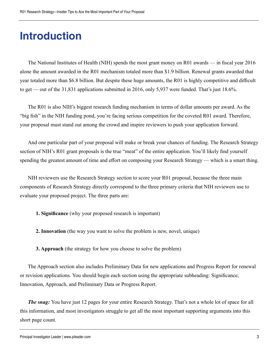# **Introduction**

The National Institutes of Health (NIH) spends the most grant money on R01 awards — in fiscal year 2016 alone the amount awarded in the R01 mechanism totaled more than \$1.9 billion. Renewal grants awarded that year totaled more than \$6.8 billion. But despite these huge amounts, the R01 is highly competitive and difficult to get — out of the 31,831 applications submitted in 2016, only 5,937 were funded. That's just 18.6%.

The R01 is also NIH's biggest research funding mechanism in terms of dollar amounts per award. As the "big fish" in the NIH funding pond, you're facing serious competition for the coveted R01 award. Therefore, your proposal must stand out among the crowd and inspire reviewers to push your application forward.

And one particular part of your proposal will make or break your chances of funding. The Research Strategy section of NIH's R01 grant proposals is the true "meat" of the entire application. You'll likely find yourself spending the greatest amount of time and effort on composing your Research Strategy — which is a smart thing.

NIH reviewers use the Research Strategy section to score your R01 proposal, because the three main components of Research Strategy directly correspond to the three primary criteria that NIH reviewers use to evaluate your proposed project. The three parts are:

**1. Significance** (why your proposed research is important)

**2. Innovation** (the way you want to solve the problem is new, novel, unique)

**3. Approach** (the strategy for how you choose to solve the problem)

The Approach section also includes Preliminary Data for new applications and Progress Report for renewal or revision applications. You should begin each section using the appropriate subheading: Significance, Innovation, Approach, and Preliminary Data or Progress Report.

*The snag:* You have just 12 pages for your entire Research Strategy. That's not a whole lot of space for all this information, and most investigators struggle to get all the most important supporting arguments into this short page count.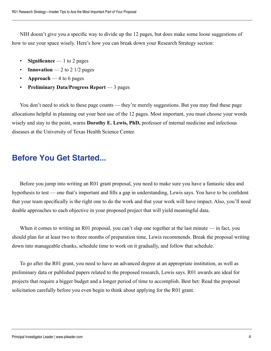NIH doesn't give you a specific way to divide up the 12 pages, but does make some loose suggestions of how to use your space wisely. Here's how you can break down your Research Strategy section:

- **Significance** 1 to 2 pages
- **Innovation** 2 to 2  $1/2$  pages
- **Approach** 4 to 6 pages
- **Preliminary Data/Progress Report**  3 pages

You don't need to stick to these page counts — they're merely suggestions. But you may find these page allocations helpful in planning out your best use of the 12 pages. Most important, you must choose your words wisely and stay to the point, warns **Dorothy E. Lewis, PhD,** professor of internal medicine and infectious diseases at the University of Texas Health Science Center.

## **Before You Get Started...**

Before you jump into writing an R01 grant proposal, you need to make sure you have a fantastic idea and hypothesis to test — one that's important and fills a gap in understanding, Lewis says. You have to be confident that your team specifically is the right one to do the work and that your work will have impact. Also, you'll need doable approaches to each objective in your proposed project that will yield meaningful data.

When it comes to writing an R01 proposal, you can't slap one together at the last minute — in fact, you should plan for at least two to three months of preparation time, Lewis recommends. Break the proposal writing down into manageable chunks, schedule time to work on it gradually, and follow that schedule.

To go after the R01 grant, you need to have an advanced degree at an appropriate institution, as well as preliminary data or published papers related to the proposed research, Lewis says. R01 awards are ideal for projects that require a bigger budget and a longer period of time to accomplish. Best bet: Read the proposal solicitation carefully before you even begin to think about applying for the R01 grant.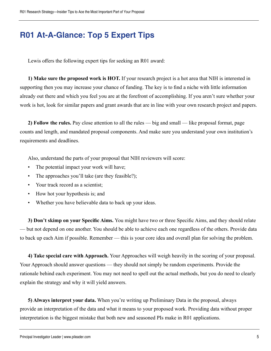# **R01 At-A-Glance: Top 5 Expert Tips**

Lewis offers the following expert tips for seeking an R01 award:

**1) Make sure the proposed work is HOT.** If your research project is a hot area that NIH is interested in supporting then you may increase your chance of funding. The key is to find a niche with little information already out there and which you feel you are at the forefront of accomplishing. If you aren't sure whether your work is hot, look for similar papers and grant awards that are in line with your own research project and papers.

**2) Follow the rules.** Pay close attention to all the rules — big and small — like proposal format, page counts and length, and mandated proposal components. And make sure you understand your own institution's requirements and deadlines.

Also, understand the parts of your proposal that NIH reviewers will score:

- The potential impact your work will have;
- The approaches you'll take (are they feasible?);
- Your track record as a scientist;
- How hot your hypothesis is; and
- Whether you have believable data to back up your ideas.

**3) Don't skimp on your Specific Aims.** You might have two or three Specific Aims, and they should relate — but not depend on one another. You should be able to achieve each one regardless of the others. Provide data to back up each Aim if possible. Remember — this is your core idea and overall plan for solving the problem.

**4) Take special care with Approach.** Your Approaches will weigh heavily in the scoring of your proposal. Your Approach should answer questions — they should not simply be random experiments. Provide the rationale behind each experiment. You may not need to spell out the actual methods, but you do need to clearly explain the strategy and why it will yield answers.

**5) Always interpret your data.** When you're writing up Preliminary Data in the proposal, always provide an interpretation of the data and what it means to your proposed work. Providing data without proper interpretation is the biggest mistake that both new and seasoned PIs make in R01 applications.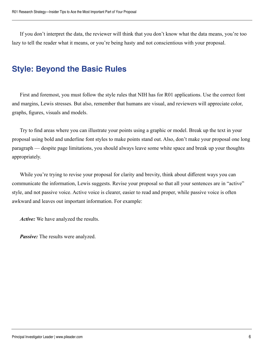If you don't interpret the data, the reviewer will think that you don't know what the data means, you're too lazy to tell the reader what it means, or you're being hasty and not conscientious with your proposal.

## **Style: Beyond the Basic Rules**

First and foremost, you must follow the style rules that NIH has for R01 applications. Use the correct font and margins, Lewis stresses. But also, remember that humans are visual, and reviewers will appreciate color, graphs, figures, visuals and models.

Try to find areas where you can illustrate your points using a graphic or model. Break up the text in your proposal using bold and underline font styles to make points stand out. Also, don't make your proposal one long paragraph — despite page limitations, you should always leave some white space and break up your thoughts appropriately.

While you're trying to revise your proposal for clarity and brevity, think about different ways you can communicate the information, Lewis suggests. Revise your proposal so that all your sentences are in "active" style, and not passive voice. Active voice is clearer, easier to read and proper, while passive voice is often awkward and leaves out important information. For example:

*Active:* We have analyzed the results.

*Passive:* The results were analyzed.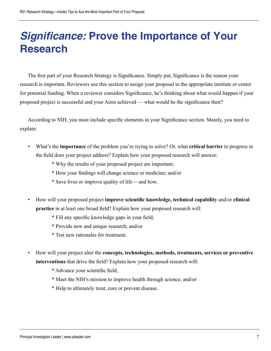# **Significance: Prove the Importance of Your Research**

The first part of your Research Strategy is Significance. Simply put, Significance is the reason your research is important. Reviewers use this section to assign your proposal to the appropriate institute or center for potential funding. When a reviewer considers Significance, he's thinking about what would happen if your proposed project is successful and your Aims achieved — what would be the significance then?

According to NIH, you must include specific elements in your Significance section. Mainly, you need to explain:

- What's the **importance** of the problem you're trying to solve? Or, what **critical barrier** to progress in the field does your project address? Explain how your proposed research will answer:
	- \* Why the results of your proposed project are important;
	- \* How your findings will change science or medicine; and/or
	- \* Save lives or improve quality of life -- and how.
- How will your proposed project **improve scientific knowledge, technical capability** and/or **clinical practice** in at least one broad field? Explain how your proposed research will:
	- \* Fill any specific knowledge gaps in your field;
	- \* Provide new and unique research; and/or
	- \* Test new rationales for treatment.
- How will your project alter the **concepts, technologies, methods, treatments, services or preventive interventions** that drive the field? Explain how your proposed research will:
	- \* Advance your scientific field;
	- \* Meet the NIH's mission to improve health through science; and/or
	- \* Help to ultimately treat, cure or prevent disease.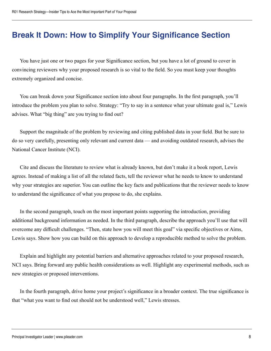# **Break It Down: How to Simplify Your Significance Section**

You have just one or two pages for your Significance section, but you have a lot of ground to cover in convincing reviewers why your proposed research is so vital to the field. So you must keep your thoughts extremely organized and concise.

You can break down your Significance section into about four paragraphs. In the first paragraph, you'll introduce the problem you plan to solve. Strategy: "Try to say in a sentence what your ultimate goal is," Lewis advises. What "big thing" are you trying to find out?

Support the magnitude of the problem by reviewing and citing published data in your field. But be sure to do so very carefully, presenting only relevant and current data — and avoiding outdated research, advises the National Cancer Institute (NCI).

Cite and discuss the literature to review what is already known, but don't make it a book report, Lewis agrees. Instead of making a list of all the related facts, tell the reviewer what he needs to know to understand why your strategies are superior. You can outline the key facts and publications that the reviewer needs to know to understand the significance of what you propose to do, she explains.

In the second paragraph, touch on the most important points supporting the introduction, providing additional background information as needed. In the third paragraph, describe the approach you'll use that will overcome any difficult challenges. "Then, state how you will meet this goal" via specific objectives or Aims, Lewis says. Show how you can build on this approach to develop a reproducible method to solve the problem.

Explain and highlight any potential barriers and alternative approaches related to your proposed research, NCI says. Bring forward any public health considerations as well. Highlight any experimental methods, such as new strategies or proposed interventions.

In the fourth paragraph, drive home your project's significance in a broader context. The true significance is that "what you want to find out should not be understood well," Lewis stresses.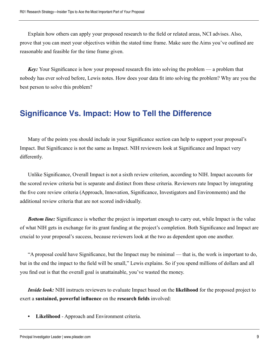Explain how others can apply your proposed research to the field or related areas, NCI advises. Also, prove that you can meet your objectives within the stated time frame. Make sure the Aims you've outlined are reasonable and feasible for the time frame given.

*Key:* Your Significance is how your proposed research fits into solving the problem — a problem that nobody has ever solved before, Lewis notes. How does your data fit into solving the problem? Why are you the best person to solve this problem?

## **Significance Vs. Impact: How to Tell the Difference**

Many of the points you should include in your Significance section can help to support your proposal's Impact. But Significance is not the same as Impact. NIH reviewers look at Significance and Impact very differently.

Unlike Significance, Overall Impact is not a sixth review criterion, according to NIH. Impact accounts for the scored review criteria but is separate and distinct from these criteria. Reviewers rate Impact by integrating the five core review criteria (Approach, Innovation, Significance, Investigators and Environments) and the additional review criteria that are not scored individually.

*Bottom line:* Significance is whether the project is important enough to carry out, while Impact is the value of what NIH gets in exchange for its grant funding at the project's completion. Both Significance and Impact are crucial to your proposal's success, because reviewers look at the two as dependent upon one another.

"A proposal could have Significance, but the Impact may be minimal — that is, the work is important to do, but in the end the impact to the field will be small," Lewis explains. So if you spend millions of dollars and all you find out is that the overall goal is unattainable, you've wasted the money.

*Inside look:* NIH instructs reviewers to evaluate Impact based on the **likelihood** for the proposed project to exert a **sustained, powerful influence** on the **research fields** involved:

**• Likelihood** - Approach and Environment criteria.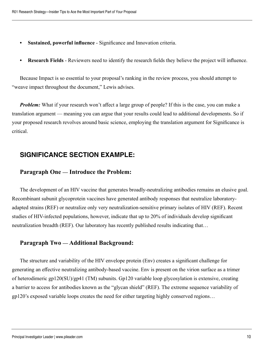- **• Sustained, powerful influence** Significance and Innovation criteria.
- **• Research Fields**  Reviewers need to identify the research fields they believe the project will influence.

Because Impact is so essential to your proposal's ranking in the review process, you should attempt to "weave impact throughout the document," Lewis advises.

*Problem:* What if your research won't affect a large group of people? If this is the case, you can make a translation argument — meaning you can argue that your results could lead to additional developments. So if your proposed research revolves around basic science, employing the translation argument for Significance is critical.

#### **SIGNIFICANCE SECTION EXAMPLE:**

#### **Paragraph One — Introduce the Problem:**

The development of an HIV vaccine that generates broadly-neutralizing antibodies remains an elusive goal. Recombinant subunit glycoprotein vaccines have generated antibody responses that neutralize laboratoryadapted strains (REF) or neutralize only very neutralization-sensitive primary isolates of HIV (REF). Recent studies of HIV-infected populations, however, indicate that up to 20% of individuals develop significant neutralization breadth (REF). Our laboratory has recently published results indicating that…

#### **Paragraph Two — Additional Background:**

The structure and variability of the HIV envelope protein (Env) creates a significant challenge for generating an effective neutralizing antibody-based vaccine. Env is present on the virion surface as a trimer of heterodimeric gp120(SU)/gp41 (TM) subunits. Gp120 variable loop glycosylation is extensive, creating a barrier to access for antibodies known as the "glycan shield" (REF). The extreme sequence variability of gp120's exposed variable loops creates the need for either targeting highly conserved regions…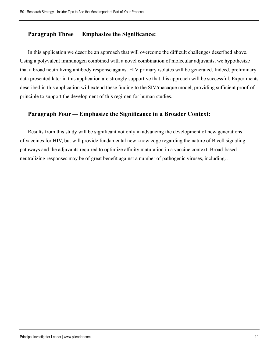#### **Paragraph Three — Emphasize the Significance:**

In this application we describe an approach that will overcome the difficult challenges described above. Using a polyvalent immunogen combined with a novel combination of molecular adjuvants, we hypothesize that a broad neutralizing antibody response against HIV primary isolates will be generated. Indeed, preliminary data presented later in this application are strongly supportive that this approach will be successful. Experiments described in this application will extend these finding to the SIV/macaque model, providing sufficient proof-ofprinciple to support the development of this regimen for human studies.

#### **Paragraph Four — Emphasize the Significance in a Broader Context:**

Results from this study will be significant not only in advancing the development of new generations of vaccines for HIV, but will provide fundamental new knowledge regarding the nature of B cell signaling pathways and the adjuvants required to optimize affinity maturation in a vaccine context. Broad-based neutralizing responses may be of great benefit against a number of pathogenic viruses, including…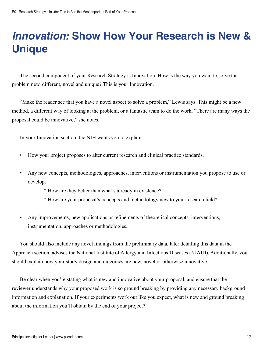# **Innovation: Show How Your Research is New & Unique**

The second component of your Research Strategy is Innovation. How is the way you want to solve the problem new, different, novel and unique? This is your Innovation.

"Make the reader see that you have a novel aspect to solve a problem," Lewis says. This might be a new method, a different way of looking at the problem, or a fantastic team to do the work. "There are many ways the proposal could be innovative," she notes.

In your Innovation section, the NIH wants you to explain:

- How your project proposes to alter current research and clinical practice standards.
- Any new concepts, methodologies, approaches, interventions or instrumentation you propose to use or develop.
	- \* How are they better than what's already in existence?
	- \* How are your proposal's concepts and methodology new to your research field?
- Any improvements, new applications or refinements of theoretical concepts, interventions, instrumentation, approaches or methodologies.

You should also include any novel findings from the preliminary data, later detailing this data in the Approach section, advises the National Institute of Allergy and Infectious Diseases (NIAID). Additionally, you should explain how your study design and outcomes are new, novel or otherwise innovative.

Be clear when you're stating what is new and innovative about your proposal, and ensure that the reviewer understands why your proposed work is so ground breaking by providing any necessary background information and explanation. If your experiments work out like you expect, what is new and ground breaking about the information you'll obtain by the end of your project?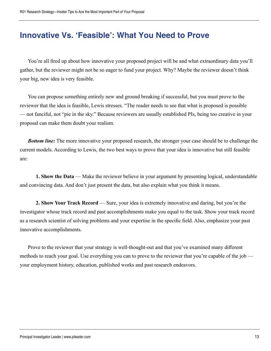## **Innovative Vs. 'Feasible': What You Need to Prove**

You're all fired up about how innovative your proposed project will be and what extraordinary data you'll gather, but the reviewer might not be so eager to fund your project. Why? Maybe the reviewer doesn't think your big, new idea is very feasible.

You can propose something entirely new and ground breaking if successful, but you must prove to the reviewer that the idea is feasible, Lewis stresses. "The reader needs to see that what is proposed is possible — not fanciful, not "pie in the sky." Because reviewers are usually established PIs, being too creative in your proposal can make them doubt your realism.

*Bottom line:* The more innovative your proposed research, the stronger your case should be to challenge the current models. According to Lewis, the two best ways to prove that your idea is innovative but still feasible are:

**1. Show the Data** — Make the reviewer believe in your argument by presenting logical, understandable and convincing data. And don't just present the data, but also explain what you think it means.

**2. Show Your Track Record** — Sure, your idea is extremely innovative and daring, but you're the investigator whose track record and past accomplishments make you equal to the task. Show your track record as a research scientist of solving problems and your expertise in the specific field. Also, emphasize your past innovative accomplishments.

Prove to the reviewer that your strategy is well-thought-out and that you've examined many different methods to reach your goal. Use everything you can to prove to the reviewer that you're capable of the job your employment history, education, published works and past research endeavors.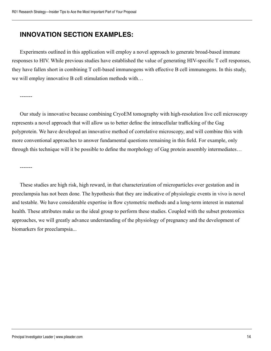#### **INNOVATION SECTION EXAMPLES:**

Experiments outlined in this application will employ a novel approach to generate broad-based immune responses to HIV. While previous studies have established the value of generating HIV-specific T cell responses, they have fallen short in combining T cell-based immunogens with effective B cell immunogens. In this study, we will employ innovative B cell stimulation methods with…

-------

Our study is innovative because combining CryoEM tomography with high-resolution live cell microscopy represents a novel approach that will allow us to better define the intracellular trafficking of the Gag polyprotein. We have developed an innovative method of correlative microscopy, and will combine this with more conventional approaches to answer fundamental questions remaining in this field. For example, only through this technique will it be possible to define the morphology of Gag protein assembly intermediates…

-------

These studies are high risk, high reward, in that characterization of microparticles over gestation and in preeclampsia has not been done. The hypothesis that they are indicative of physiologic events in vivo is novel and testable. We have considerable expertise in flow cytometric methods and a long-term interest in maternal health. These attributes make us the ideal group to perform these studies. Coupled with the subset proteomics approaches, we will greatly advance understanding of the physiology of pregnancy and the development of biomarkers for preeclampsia...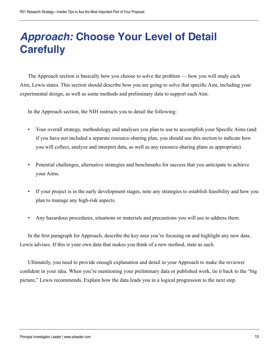# **Approach: Choose Your Level of Detail Carefully**

The Approach section is basically how you choose to solve the problem — how you will study each Aim, Lewis states. This section should describe how you are going to solve that specific Aim, including your experimental design, as well as some methods and preliminary data to support each Aim.

In the Approach section, the NIH instructs you to detail the following:

- Your overall strategy, methodology and analyses you plan to use to accomplish your Specific Aims (and if you have not included a separate resource-sharing plan, you should use this section to indicate how you will collect, analyze and interpret data, as well as any resource-sharing plans as appropriate).
- Potential challenges, alternative strategies and benchmarks for success that you anticipate to achieve your Aims.
- If your project is in the early development stages, note any strategies to establish feasibility and how you plan to manage any high-risk aspects.
- Any hazardous procedures, situations or materials and precautions you will use to address them.

In the first paragraph for Approach, describe the key area you're focusing on and highlight any new data, Lewis advises. If this is your own data that makes you think of a new method, state as such.

Ultimately, you need to provide enough explanation and detail in your Approach to make the reviewer confident in your idea. When you're mentioning your preliminary data or published work, tie it back to the "big picture," Lewis recommends. Explain how the data leads you in a logical progression to the next step.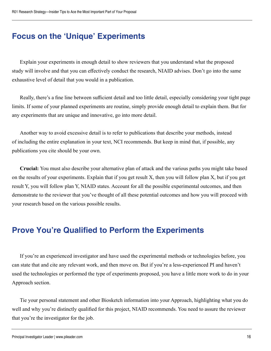# **Focus on the 'Unique' Experiments**

Explain your experiments in enough detail to show reviewers that you understand what the proposed study will involve and that you can effectively conduct the research, NIAID advises. Don't go into the same exhaustive level of detail that you would in a publication.

Really, there's a fine line between sufficient detail and too little detail, especially considering your tight page limits. If some of your planned experiments are routine, simply provide enough detail to explain them. But for any experiments that are unique and innovative, go into more detail.

Another way to avoid excessive detail is to refer to publications that describe your methods, instead of including the entire explanation in your text, NCI recommends. But keep in mind that, if possible, any publications you cite should be your own.

**Crucial:** You must also describe your alternative plan of attack and the various paths you might take based on the results of your experiments. Explain that if you get result X, then you will follow plan X, but if you get result Y, you will follow plan Y, NIAID states. Account for all the possible experimental outcomes, and then demonstrate to the reviewer that you've thought of all these potential outcomes and how you will proceed with your research based on the various possible results.

# **Prove You're Qualified to Perform the Experiments**

If you're an experienced investigator and have used the experimental methods or technologies before, you can state that and cite any relevant work, and then move on. But if you're a less-experienced PI and haven't used the technologies or performed the type of experiments proposed, you have a little more work to do in your Approach section.

Tie your personal statement and other Biosketch information into your Approach, highlighting what you do well and why you're distinctly qualified for this project, NIAID recommends. You need to assure the reviewer that you're the investigator for the job.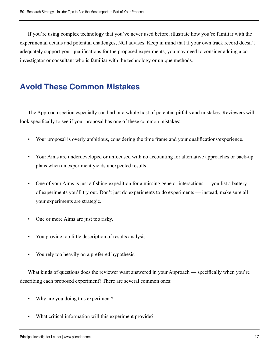If you're using complex technology that you've never used before, illustrate how you're familiar with the experimental details and potential challenges, NCI advises. Keep in mind that if your own track record doesn't adequately support your qualifications for the proposed experiments, you may need to consider adding a coinvestigator or consultant who is familiar with the technology or unique methods.

## **Avoid These Common Mistakes**

The Approach section especially can harbor a whole host of potential pitfalls and mistakes. Reviewers will look specifically to see if your proposal has one of these common mistakes:

- Your proposal is overly ambitious, considering the time frame and your qualifications/experience.
- Your Aims are underdeveloped or unfocused with no accounting for alternative approaches or back-up plans when an experiment yields unexpected results.
- One of your Aims is just a fishing expedition for a missing gene or interactions you list a battery of experiments you'll try out. Don't just do experiments to do experiments — instead, make sure all your experiments are strategic.
- One or more Aims are just too risky.
- You provide too little description of results analysis.
- You rely too heavily on a preferred hypothesis.

What kinds of questions does the reviewer want answered in your Approach — specifically when you're describing each proposed experiment? There are several common ones:

- Why are you doing this experiment?
- What critical information will this experiment provide?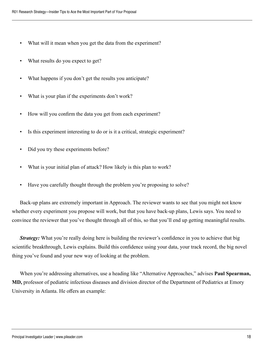- What will it mean when you get the data from the experiment?
- What results do you expect to get?
- What happens if you don't get the results you anticipate?
- What is your plan if the experiments don't work?
- How will you confirm the data you get from each experiment?
- Is this experiment interesting to do or is it a critical, strategic experiment?
- Did you try these experiments before?
- What is your initial plan of attack? How likely is this plan to work?
- Have you carefully thought through the problem you're proposing to solve?

Back-up plans are extremely important in Approach. The reviewer wants to see that you might not know whether every experiment you propose will work, but that you have back-up plans, Lewis says. You need to convince the reviewer that you've thought through all of this, so that you'll end up getting meaningful results.

*Strategy:* What you're really doing here is building the reviewer's confidence in you to achieve that big scientific breakthrough, Lewis explains. Build this confidence using your data, your track record, the big novel thing you've found and your new way of looking at the problem.

When you're addressing alternatives, use a heading like "Alternative Approaches," advises **Paul Spearman, MD,** professor of pediatric infectious diseases and division director of the Department of Pediatrics at Emory University in Atlanta. He offers an example: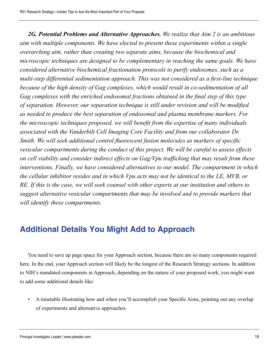*2G. Potential Problems and Alternative Approaches. We realize that Aim 2 is an ambitious aim with multiple components. We have elected to present these experiments within a single overarching aim, rather than creating two separate aims, because the biochemical and microscopic techniques are designed to be complementary in reaching the same goals. We have considered alternative biochemical fractionation protocols to purify endosomes, such as a multi-step differential sedimentation approach. This was not considered as a first-line technique because of the high density of Gag complexes, which would result in co-sedimentation of all Gag complexes with the enriched endosomal fractions obtained in the final step of this type of separation. However, our separation technique is still under revision and will be modified as needed to produce the best separation of endosomal and plasma membrane markers. For the microscopic techniques proposed, we will benefit from the expertise of many individuals associated with the Vanderbilt Cell Imaging Core Facility and from our collaborator Dr. Smith. We will seek additional control fluorescent fusion molecules as markers of specific vesicular compartments during the conduct of this project. We will be careful to assess effects on cell viability and consider indirect effects on Gag/Vpu trafficking that may result from these interventions. Finally, we have considered alternatives to our model. The compartment in which the cellular inhibitor resides and in which Vpu acts may not be identical to the LE, MVB, or RE. If this is the case, we will seek counsel with other experts at our institution and others to suggest alternative vesicular compartments that may be involved and to provide markers that will identify these compartments.*

# **Additional Details You Might Add to Approach**

You need to save up page space for your Approach section, because there are so many components required here. In the end, your Approach section will likely be the longest of the Research Strategy sections. In addition to NIH's mandated components in Approach, depending on the nature of your proposed work, you might want to add some additional details like:

• A timetable illustrating how and when you'll accomplish your Specific Aims, pointing out any overlap of experiments and alternative approaches.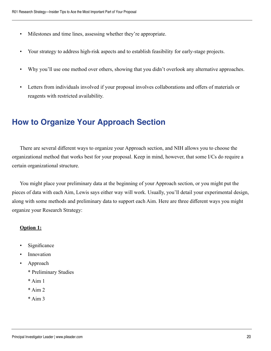- Milestones and time lines, assessing whether they're appropriate.
- Your strategy to address high-risk aspects and to establish feasibility for early-stage projects.
- Why you'll use one method over others, showing that you didn't overlook any alternative approaches.
- Letters from individuals involved if your proposal involves collaborations and offers of materials or reagents with restricted availability.

# **How to Organize Your Approach Section**

There are several different ways to organize your Approach section, and NIH allows you to choose the organizational method that works best for your proposal. Keep in mind, however, that some I/Cs do require a certain organizational structure.

You might place your preliminary data at the beginning of your Approach section, or you might put the pieces of data with each Aim, Lewis says either way will work. Usually, you'll detail your experimental design, along with some methods and preliminary data to support each Aim. Here are three different ways you might organize your Research Strategy:

#### **Option 1:**

- Significance
- **Innovation**
- Approach
	- \* Preliminary Studies
	- $*$  Aim 1
	- $*$  Aim 2
	- $* A$ im 3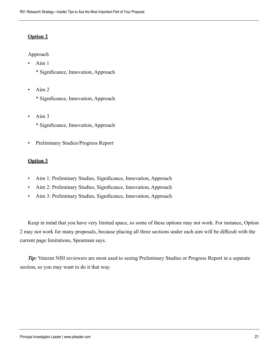#### **Option 2**

Approach

- Aim 1
	- \* Significance, Innovation, Approach
- Aim 2
	- \* Significance, Innovation, Approach
- $\cdot$  Aim 3 \* Significance, Innovation, Approach
- Preliminary Studies/Progress Report

#### **Option 3**

- Aim 1: Preliminary Studies, Significance, Innovation, Approach
- Aim 2: Preliminary Studies, Significance, Innovation, Approach
- Aim 3: Preliminary Studies, Significance, Innovation, Approach

Keep in mind that you have very limited space, so some of these options may not work. For instance, Option 2 may not work for many proposals, because placing all three sections under each aim will be difficult with the current page limitations, Spearman says.

*Tip:* Veteran NIH reviewers are most used to seeing Preliminary Studies or Progress Report in a separate section, so you may want to do it that way.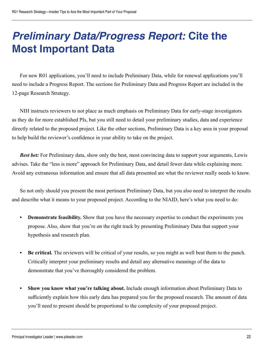# **Preliminary Data/Progress Report: Cite the Most Important Data**

For new R01 applications, you'll need to include Preliminary Data, while for renewal applications you'll need to include a Progress Report. The sections for Preliminary Data and Progress Report are included in the 12-page Research Strategy.

NIH instructs reviewers to not place as much emphasis on Preliminary Data for early-stage investigators as they do for more established PIs, but you still need to detail your preliminary studies, data and experience directly related to the proposed project. Like the other sections, Preliminary Data is a key area in your proposal to help build the reviewer's confidence in your ability to take on the project.

*Best bet:* For Preliminary data, show only the best, most convincing data to support your arguments, Lewis advises. Take the "less is more" approach for Preliminary Data, and detail fewer data while explaining more. Avoid any extraneous information and ensure that all data presented are what the reviewer really needs to know.

So not only should you present the most pertinent Preliminary Data, but you also need to interpret the results and describe what it means to your proposed project. According to the NIAID, here's what you need to do:

- **Demonstrate feasibility.** Show that you have the necessary expertise to conduct the experiments you propose. Also, show that you're on the right track by presenting Preliminary Data that support your hypothesis and research plan.
- **• Be critical.** The reviewers will be critical of your results, so you might as well beat them to the punch. Critically interpret your preliminary results and detail any alternative meanings of the data to demonstrate that you've thoroughly considered the problem.
- **• Show you know what you're talking about.** Include enough information about Preliminary Data to sufficiently explain how this early data has prepared you for the proposed research. The amount of data you'll need to present should be proportional to the complexity of your proposed project.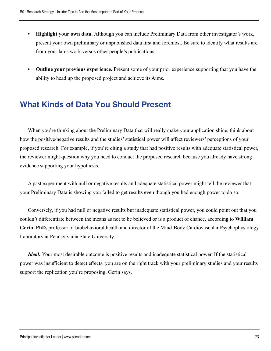- **• Highlight your own data.** Although you can include Preliminary Data from other investigator's work, present your own preliminary or unpublished data first and foremost. Be sure to identify what results are from your lab's work versus other people's publications.
- **• Outline your previous experience.** Present some of your prior experience supporting that you have the ability to head up the proposed project and achieve its Aims.

## **What Kinds of Data You Should Present**

When you're thinking about the Preliminary Data that will really make your application shine, think about how the positive/negative results and the studies' statistical power will affect reviewers' perceptions of your proposed research. For example, if you're citing a study that had positive results with adequate statistical power, the reviewer might question why you need to conduct the proposed research because you already have strong evidence supporting your hypothesis.

A past experiment with null or negative results and adequate statistical power might tell the reviewer that your Preliminary Data is showing you failed to get results even though you had enough power to do so.

Conversely, if you had null or negative results but inadequate statistical power, you could point out that you couldn't differentiate between the means as not to be believed or is a product of chance, according to **William Gerin, PhD,** professor of biobehavioral health and director of the Mind-Body Cardiovascular Psychophysiology Laboratory at Pennsylvania State University.

*Ideal:* Your most desirable outcome is positive results and inadequate statistical power. If the statistical power was insufficient to detect effects, you are on the right track with your preliminary studies and your results support the replication you're proposing, Gerin says.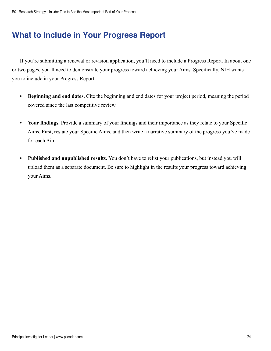# **What to Include in Your Progress Report**

If you're submitting a renewal or revision application, you'll need to include a Progress Report. In about one or two pages, you'll need to demonstrate your progress toward achieving your Aims. Specifically, NIH wants you to include in your Progress Report:

- **• Beginning and end dates.** Cite the beginning and end dates for your project period, meaning the period covered since the last competitive review.
- **• Your findings.** Provide a summary of your findings and their importance as they relate to your Specific Aims. First, restate your Specific Aims, and then write a narrative summary of the progress you've made for each Aim.
- **• Published and unpublished results.** You don't have to relist your publications, but instead you will upload them as a separate document. Be sure to highlight in the results your progress toward achieving your Aims.